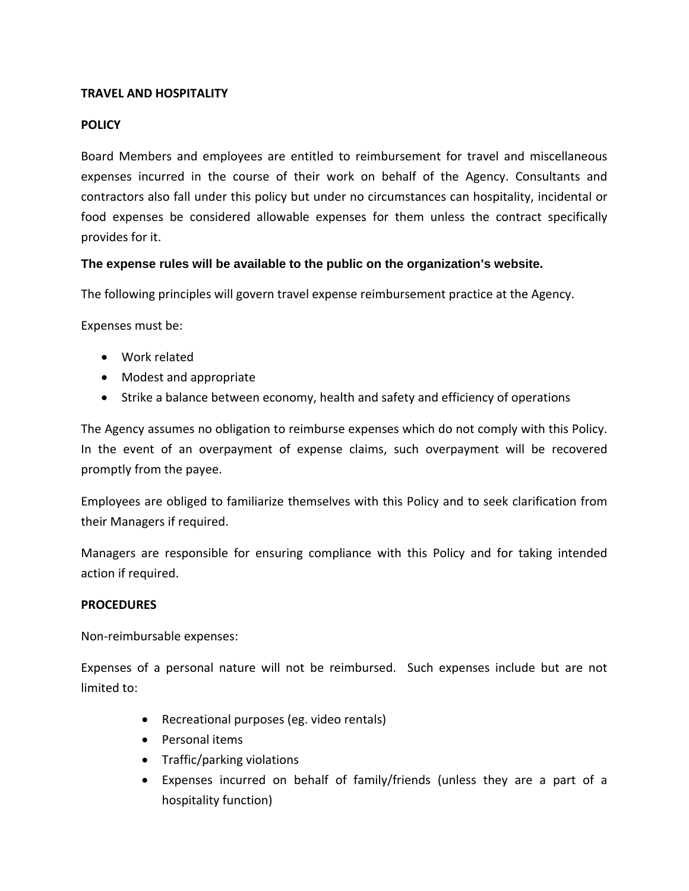## **TRAVEL AND HOSPITALITY**

## **POLICY**

Board Members and employees are entitled to reimbursement for travel and miscellaneous expenses incurred in the course of their work on behalf of the Agency. Consultants and contractors also fall under this policy but under no circumstances can hospitality, incidental or food expenses be considered allowable expenses for them unless the contract specifically provides for it.

## **The expense rules will be available to the public on the organization's website.**

The following principles will govern travel expense reimbursement practice at the Agency.

Expenses must be:

- Work related
- Modest and appropriate
- Strike a balance between economy, health and safety and efficiency of operations

The Agency assumes no obligation to reimburse expenses which do not comply with this Policy. In the event of an overpayment of expense claims, such overpayment will be recovered promptly from the payee.

Employees are obliged to familiarize themselves with this Policy and to seek clarification from their Managers if required.

Managers are responsible for ensuring compliance with this Policy and for taking intended action if required.

#### **PROCEDURES**

Non‐reimbursable expenses:

Expenses of a personal nature will not be reimbursed. Such expenses include but are not limited to:

- Recreational purposes (eg. video rentals)
- Personal items
- Traffic/parking violations
- Expenses incurred on behalf of family/friends (unless they are a part of a hospitality function)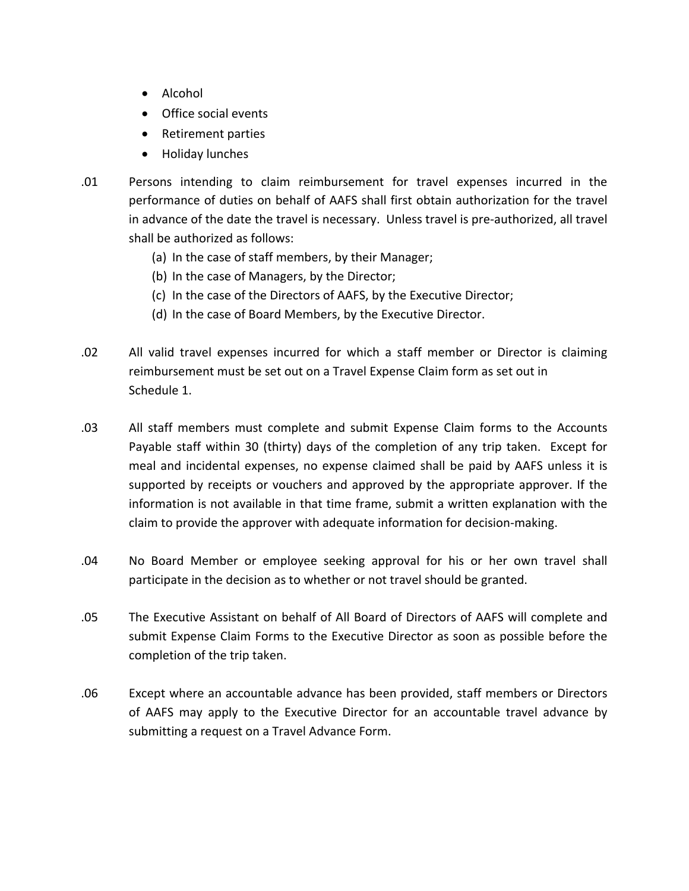- Alcohol
- Office social events
- Retirement parties
- Holiday lunches
- .01 Persons intending to claim reimbursement for travel expenses incurred in the performance of duties on behalf of AAFS shall first obtain authorization for the travel in advance of the date the travel is necessary. Unless travel is pre‐authorized, all travel shall be authorized as follows:
	- (a) In the case of staff members, by their Manager;
	- (b) In the case of Managers, by the Director;
	- (c) In the case of the Directors of AAFS, by the Executive Director;
	- (d) In the case of Board Members, by the Executive Director.
- .02 All valid travel expenses incurred for which a staff member or Director is claiming reimbursement must be set out on a Travel Expense Claim form as set out in Schedule 1.
- .03 All staff members must complete and submit Expense Claim forms to the Accounts Payable staff within 30 (thirty) days of the completion of any trip taken. Except for meal and incidental expenses, no expense claimed shall be paid by AAFS unless it is supported by receipts or vouchers and approved by the appropriate approver. If the information is not available in that time frame, submit a written explanation with the claim to provide the approver with adequate information for decision‐making.
- .04 No Board Member or employee seeking approval for his or her own travel shall participate in the decision as to whether or not travel should be granted.
- .05 The Executive Assistant on behalf of All Board of Directors of AAFS will complete and submit Expense Claim Forms to the Executive Director as soon as possible before the completion of the trip taken.
- .06 Except where an accountable advance has been provided, staff members or Directors of AAFS may apply to the Executive Director for an accountable travel advance by submitting a request on a Travel Advance Form.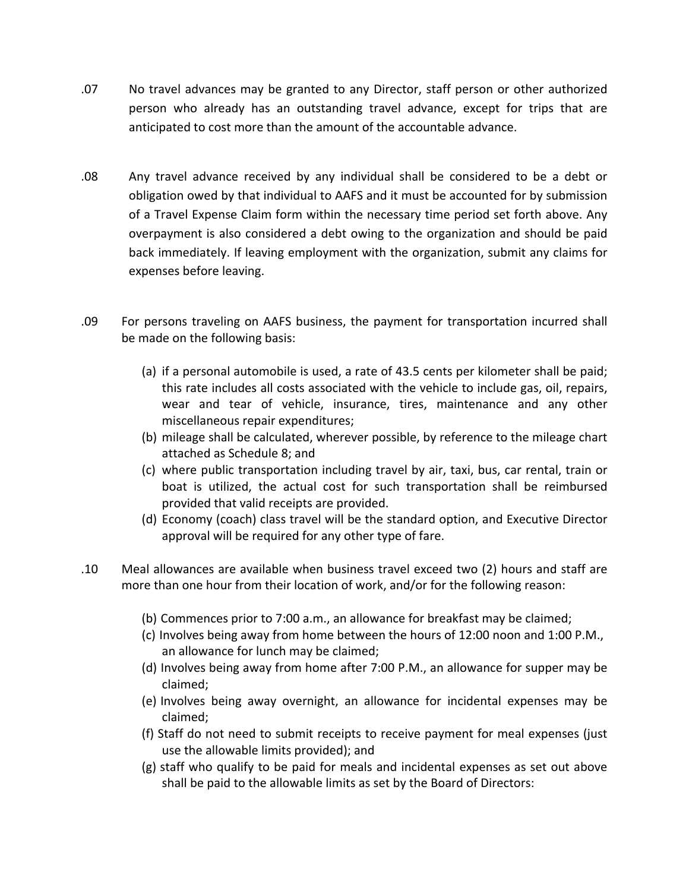- .07 No travel advances may be granted to any Director, staff person or other authorized person who already has an outstanding travel advance, except for trips that are anticipated to cost more than the amount of the accountable advance.
- .08 Any travel advance received by any individual shall be considered to be a debt or obligation owed by that individual to AAFS and it must be accounted for by submission of a Travel Expense Claim form within the necessary time period set forth above. Any overpayment is also considered a debt owing to the organization and should be paid back immediately. If leaving employment with the organization, submit any claims for expenses before leaving.
- .09 For persons traveling on AAFS business, the payment for transportation incurred shall be made on the following basis:
	- (a) if a personal automobile is used, a rate of 43.5 cents per kilometer shall be paid; this rate includes all costs associated with the vehicle to include gas, oil, repairs, wear and tear of vehicle, insurance, tires, maintenance and any other miscellaneous repair expenditures;
	- (b) mileage shall be calculated, wherever possible, by reference to the mileage chart attached as Schedule 8; and
	- (c) where public transportation including travel by air, taxi, bus, car rental, train or boat is utilized, the actual cost for such transportation shall be reimbursed provided that valid receipts are provided.
	- (d) Economy (coach) class travel will be the standard option, and Executive Director approval will be required for any other type of fare.
- .10 Meal allowances are available when business travel exceed two (2) hours and staff are more than one hour from their location of work, and/or for the following reason:
	- (b) Commences prior to 7:00 a.m., an allowance for breakfast may be claimed;
	- (c) Involves being away from home between the hours of 12:00 noon and 1:00 P.M., an allowance for lunch may be claimed;
	- (d) Involves being away from home after 7:00 P.M., an allowance for supper may be claimed;
	- (e) Involves being away overnight, an allowance for incidental expenses may be claimed;
	- (f) Staff do not need to submit receipts to receive payment for meal expenses (just use the allowable limits provided); and
	- (g) staff who qualify to be paid for meals and incidental expenses as set out above shall be paid to the allowable limits as set by the Board of Directors: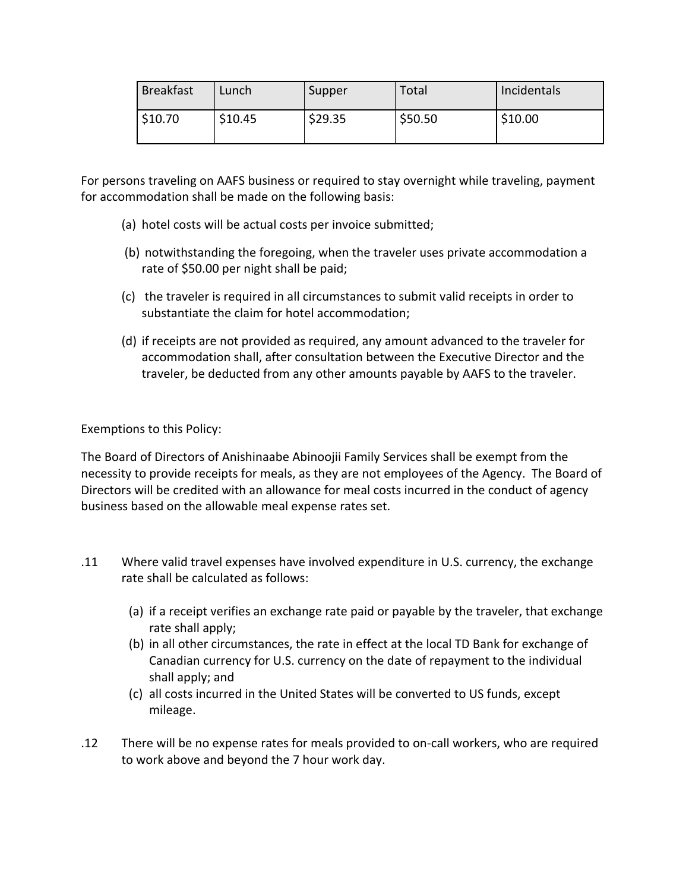| <b>Breakfast</b> | Lunch   | Supper  | Total   | Incidentals |
|------------------|---------|---------|---------|-------------|
| \$10.70          | \$10.45 | \$29.35 | \$50.50 | \$10.00     |

For persons traveling on AAFS business or required to stay overnight while traveling, payment for accommodation shall be made on the following basis:

- (a) hotel costs will be actual costs per invoice submitted;
- (b) notwithstanding the foregoing, when the traveler uses private accommodation a rate of \$50.00 per night shall be paid;
- (c) the traveler is required in all circumstances to submit valid receipts in order to substantiate the claim for hotel accommodation;
- (d) if receipts are not provided as required, any amount advanced to the traveler for accommodation shall, after consultation between the Executive Director and the traveler, be deducted from any other amounts payable by AAFS to the traveler.

Exemptions to this Policy:

The Board of Directors of Anishinaabe Abinoojii Family Services shall be exempt from the necessity to provide receipts for meals, as they are not employees of the Agency. The Board of Directors will be credited with an allowance for meal costs incurred in the conduct of agency business based on the allowable meal expense rates set.

- .11 Where valid travel expenses have involved expenditure in U.S. currency, the exchange rate shall be calculated as follows:
	- (a) if a receipt verifies an exchange rate paid or payable by the traveler, that exchange rate shall apply;
	- (b) in all other circumstances, the rate in effect at the local TD Bank for exchange of Canadian currency for U.S. currency on the date of repayment to the individual shall apply; and
	- (c) all costs incurred in the United States will be converted to US funds, except mileage.
- .12 There will be no expense rates for meals provided to on‐call workers, who are required to work above and beyond the 7 hour work day.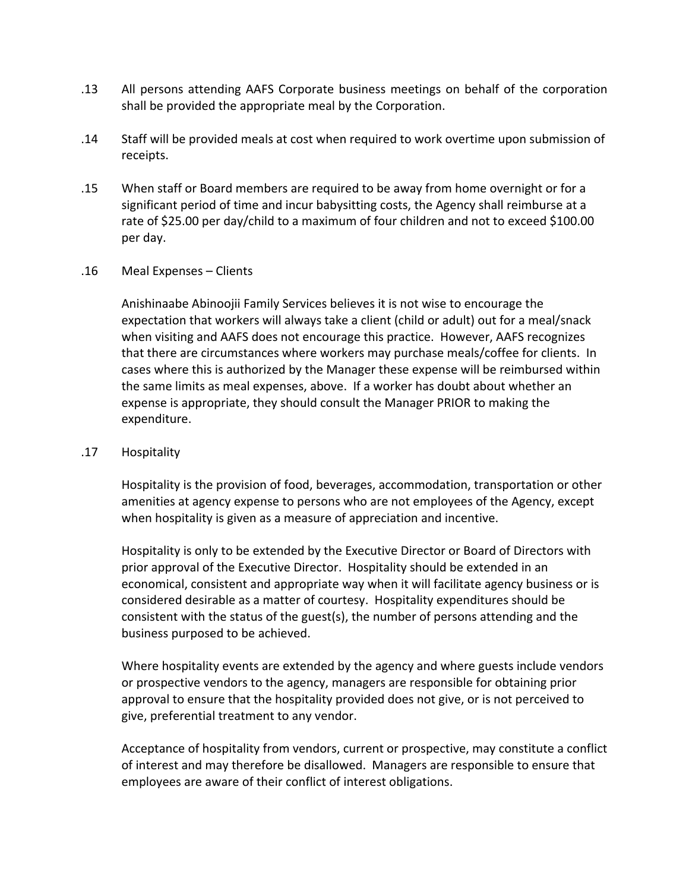- .13 All persons attending AAFS Corporate business meetings on behalf of the corporation shall be provided the appropriate meal by the Corporation.
- .14 Staff will be provided meals at cost when required to work overtime upon submission of receipts.
- .15 When staff or Board members are required to be away from home overnight or for a significant period of time and incur babysitting costs, the Agency shall reimburse at a rate of \$25.00 per day/child to a maximum of four children and not to exceed \$100.00 per day.

#### .16 Meal Expenses – Clients

Anishinaabe Abinoojii Family Services believes it is not wise to encourage the expectation that workers will always take a client (child or adult) out for a meal/snack when visiting and AAFS does not encourage this practice. However, AAFS recognizes that there are circumstances where workers may purchase meals/coffee for clients. In cases where this is authorized by the Manager these expense will be reimbursed within the same limits as meal expenses, above. If a worker has doubt about whether an expense is appropriate, they should consult the Manager PRIOR to making the expenditure.

### .17 Hospitality

Hospitality is the provision of food, beverages, accommodation, transportation or other amenities at agency expense to persons who are not employees of the Agency, except when hospitality is given as a measure of appreciation and incentive.

Hospitality is only to be extended by the Executive Director or Board of Directors with prior approval of the Executive Director. Hospitality should be extended in an economical, consistent and appropriate way when it will facilitate agency business or is considered desirable as a matter of courtesy. Hospitality expenditures should be consistent with the status of the guest(s), the number of persons attending and the business purposed to be achieved.

Where hospitality events are extended by the agency and where guests include vendors or prospective vendors to the agency, managers are responsible for obtaining prior approval to ensure that the hospitality provided does not give, or is not perceived to give, preferential treatment to any vendor.

Acceptance of hospitality from vendors, current or prospective, may constitute a conflict of interest and may therefore be disallowed. Managers are responsible to ensure that employees are aware of their conflict of interest obligations.